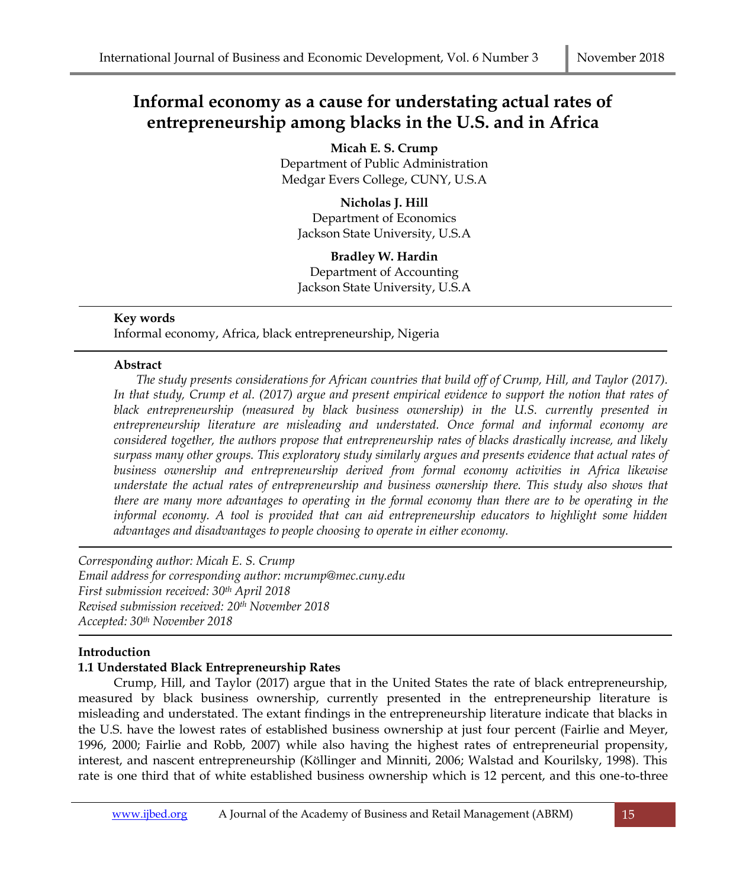# **Informal economy as a cause for understating actual rates of entrepreneurship among blacks in the U.S. and in Africa**

**Micah E. S. Crump** Department of Public Administration Medgar Evers College, CUNY, U.S.A

**Nicholas J. Hill** Department of Economics Jackson State University, U.S.A

**Bradley W. Hardin** Department of Accounting Jackson State University, U.S.A

## **Key words**

Informal economy, Africa, black entrepreneurship, Nigeria

## **Abstract**

*The study presents considerations for African countries that build off of Crump, Hill, and Taylor (2017). In that study, Crump et al. (2017) argue and present empirical evidence to support the notion that rates of black entrepreneurship (measured by black business ownership) in the U.S. currently presented in entrepreneurship literature are misleading and understated. Once formal and informal economy are considered together, the authors propose that entrepreneurship rates of blacks drastically increase, and likely surpass many other groups. This exploratory study similarly argues and presents evidence that actual rates of business ownership and entrepreneurship derived from formal economy activities in Africa likewise understate the actual rates of entrepreneurship and business ownership there. This study also shows that there are many more advantages to operating in the formal economy than there are to be operating in the informal economy. A tool is provided that can aid entrepreneurship educators to highlight some hidden advantages and disadvantages to people choosing to operate in either economy.*

*Corresponding author: Micah E. S. Crump Email address for corresponding author: mcrump@mec.cuny.edu First submission received: 30th April 2018 Revised submission received: 20th November 2018 Accepted: 30th November 2018*

# **Introduction**

# **1.1 Understated Black Entrepreneurship Rates**

Crump, Hill, and Taylor (2017) argue that in the United States the rate of black entrepreneurship, measured by black business ownership, currently presented in the entrepreneurship literature is misleading and understated. The extant findings in the entrepreneurship literature indicate that blacks in the U.S. have the lowest rates of established business ownership at just four percent (Fairlie and Meyer, 1996, 2000; Fairlie and Robb, 2007) while also having the highest rates of entrepreneurial propensity, interest, and nascent entrepreneurship (Köllinger and Minniti, 2006; Walstad and Kourilsky, 1998). This rate is one third that of white established business ownership which is 12 percent, and this one-to-three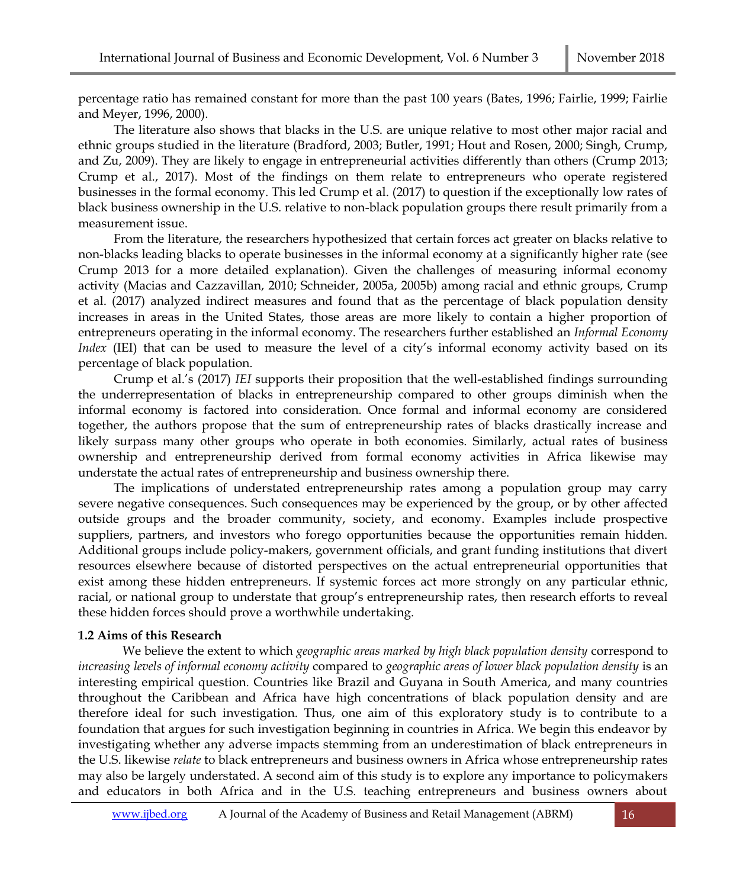percentage ratio has remained constant for more than the past 100 years (Bates, 1996; Fairlie, 1999; Fairlie and Meyer, 1996, 2000).

The literature also shows that blacks in the U.S. are unique relative to most other major racial and ethnic groups studied in the literature (Bradford, 2003; Butler, 1991; Hout and Rosen, 2000; Singh, Crump, and Zu, 2009). They are likely to engage in entrepreneurial activities differently than others (Crump 2013; Crump et al., 2017). Most of the findings on them relate to entrepreneurs who operate registered businesses in the formal economy. This led Crump et al. (2017) to question if the exceptionally low rates of black business ownership in the U.S. relative to non-black population groups there result primarily from a measurement issue.

From the literature, the researchers hypothesized that certain forces act greater on blacks relative to non-blacks leading blacks to operate businesses in the informal economy at a significantly higher rate (see Crump 2013 for a more detailed explanation). Given the challenges of measuring informal economy activity (Macias and Cazzavillan, 2010; Schneider, 2005a, 2005b) among racial and ethnic groups, Crump et al. (2017) analyzed indirect measures and found that as the percentage of black population density increases in areas in the United States, those areas are more likely to contain a higher proportion of entrepreneurs operating in the informal economy. The researchers further established an *Informal Economy Index* (IEI) that can be used to measure the level of a city's informal economy activity based on its percentage of black population.

Crump et al.'s (2017) *IEI* supports their proposition that the well-established findings surrounding the underrepresentation of blacks in entrepreneurship compared to other groups diminish when the informal economy is factored into consideration. Once formal and informal economy are considered together, the authors propose that the sum of entrepreneurship rates of blacks drastically increase and likely surpass many other groups who operate in both economies. Similarly, actual rates of business ownership and entrepreneurship derived from formal economy activities in Africa likewise may understate the actual rates of entrepreneurship and business ownership there.

The implications of understated entrepreneurship rates among a population group may carry severe negative consequences. Such consequences may be experienced by the group, or by other affected outside groups and the broader community, society, and economy. Examples include prospective suppliers, partners, and investors who forego opportunities because the opportunities remain hidden. Additional groups include policy-makers, government officials, and grant funding institutions that divert resources elsewhere because of distorted perspectives on the actual entrepreneurial opportunities that exist among these hidden entrepreneurs. If systemic forces act more strongly on any particular ethnic, racial, or national group to understate that group's entrepreneurship rates, then research efforts to reveal these hidden forces should prove a worthwhile undertaking.

#### **1.2 Aims of this Research**

We believe the extent to which *geographic areas marked by high black population density* correspond to *increasing levels of informal economy activity* compared to *geographic areas of lower black population density* is an interesting empirical question. Countries like Brazil and Guyana in South America, and many countries throughout the Caribbean and Africa have high concentrations of black population density and are therefore ideal for such investigation. Thus, one aim of this exploratory study is to contribute to a foundation that argues for such investigation beginning in countries in Africa. We begin this endeavor by investigating whether any adverse impacts stemming from an underestimation of black entrepreneurs in the U.S. likewise *relate* to black entrepreneurs and business owners in Africa whose entrepreneurship rates may also be largely understated. A second aim of this study is to explore any importance to policymakers and educators in both Africa and in the U.S. teaching entrepreneurs and business owners about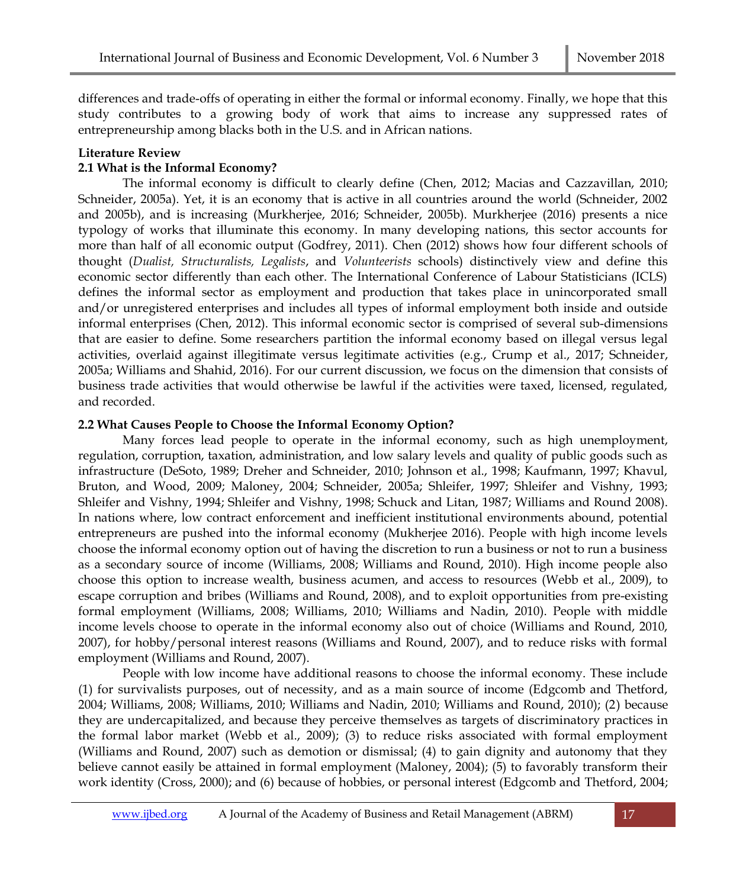differences and trade-offs of operating in either the formal or informal economy. Finally, we hope that this study contributes to a growing body of work that aims to increase any suppressed rates of entrepreneurship among blacks both in the U.S. and in African nations.

# **Literature Review**

# **2.1 What is the Informal Economy?**

The informal economy is difficult to clearly define (Chen, 2012; Macias and Cazzavillan, 2010; Schneider, 2005a). Yet, it is an economy that is active in all countries around the world (Schneider, 2002 and 2005b), and is increasing (Murkherjee, 2016; Schneider, 2005b). Murkherjee (2016) presents a nice typology of works that illuminate this economy. In many developing nations, this sector accounts for more than half of all economic output (Godfrey, 2011). Chen (2012) shows how four different schools of thought (*Dualist, Structuralists, Legalists*, and *Volunteerists* schools) distinctively view and define this economic sector differently than each other. The International Conference of Labour Statisticians (ICLS) defines the informal sector as employment and production that takes place in unincorporated small and/or unregistered enterprises and includes all types of informal employment both inside and outside informal enterprises (Chen, 2012). This informal economic sector is comprised of several sub-dimensions that are easier to define. Some researchers partition the informal economy based on illegal versus legal activities, overlaid against illegitimate versus legitimate activities (e.g., Crump et al., 2017; Schneider, 2005a; Williams and Shahid, 2016). For our current discussion, we focus on the dimension that consists of business trade activities that would otherwise be lawful if the activities were taxed, licensed, regulated, and recorded.

# **2.2 What Causes People to Choose the Informal Economy Option?**

Many forces lead people to operate in the informal economy, such as high unemployment, regulation, corruption, taxation, administration, and low salary levels and quality of public goods such as infrastructure (DeSoto, 1989; Dreher and Schneider, 2010; Johnson et al., 1998; Kaufmann, 1997; Khavul, Bruton, and Wood, 2009; Maloney, 2004; Schneider, 2005a; Shleifer, 1997; Shleifer and Vishny, 1993; Shleifer and Vishny, 1994; Shleifer and Vishny, 1998; Schuck and Litan, 1987; Williams and Round 2008). In nations where, low contract enforcement and inefficient institutional environments abound, potential entrepreneurs are pushed into the informal economy (Mukherjee 2016). People with high income levels choose the informal economy option out of having the discretion to run a business or not to run a business as a secondary source of income (Williams, 2008; Williams and Round, 2010). High income people also choose this option to increase wealth, business acumen, and access to resources (Webb et al., 2009), to escape corruption and bribes (Williams and Round, 2008), and to exploit opportunities from pre-existing formal employment (Williams, 2008; Williams, 2010; Williams and Nadin, 2010). People with middle income levels choose to operate in the informal economy also out of choice (Williams and Round, 2010, 2007), for hobby/personal interest reasons (Williams and Round, 2007), and to reduce risks with formal employment (Williams and Round, 2007).

People with low income have additional reasons to choose the informal economy. These include (1) for survivalists purposes, out of necessity, and as a main source of income (Edgcomb and Thetford, 2004; Williams, 2008; Williams, 2010; Williams and Nadin, 2010; Williams and Round, 2010); (2) because they are undercapitalized, and because they perceive themselves as targets of discriminatory practices in the formal labor market (Webb et al., 2009); (3) to reduce risks associated with formal employment (Williams and Round, 2007) such as demotion or dismissal; (4) to gain dignity and autonomy that they believe cannot easily be attained in formal employment (Maloney, 2004); (5) to favorably transform their work identity (Cross, 2000); and (6) because of hobbies, or personal interest (Edgcomb and Thetford, 2004;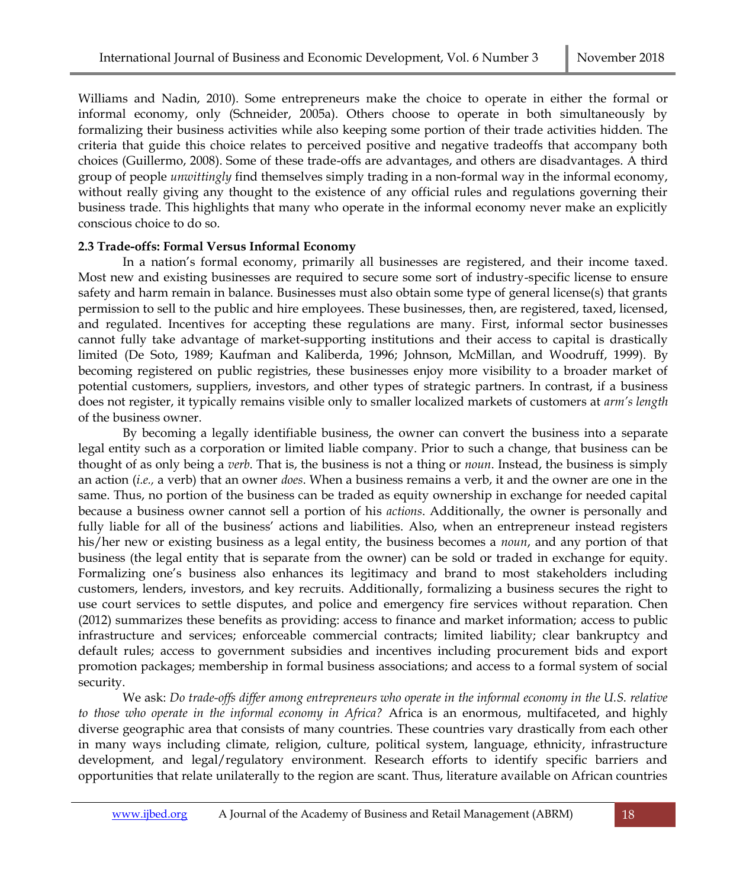Williams and Nadin, 2010). Some entrepreneurs make the choice to operate in either the formal or informal economy, only (Schneider, 2005a). Others choose to operate in both simultaneously by formalizing their business activities while also keeping some portion of their trade activities hidden. The criteria that guide this choice relates to perceived positive and negative tradeoffs that accompany both choices (Guillermo, 2008). Some of these trade-offs are advantages, and others are disadvantages. A third group of people *unwittingly* find themselves simply trading in a non-formal way in the informal economy, without really giving any thought to the existence of any official rules and regulations governing their business trade. This highlights that many who operate in the informal economy never make an explicitly conscious choice to do so.

## **2.3 Trade-offs: Formal Versus Informal Economy**

In a nation's formal economy, primarily all businesses are registered, and their income taxed. Most new and existing businesses are required to secure some sort of industry-specific license to ensure safety and harm remain in balance. Businesses must also obtain some type of general license(s) that grants permission to sell to the public and hire employees. These businesses, then, are registered, taxed, licensed, and regulated. Incentives for accepting these regulations are many. First, informal sector businesses cannot fully take advantage of market-supporting institutions and their access to capital is drastically limited (De Soto, 1989; Kaufman and Kaliberda, 1996; Johnson, McMillan, and Woodruff, 1999). By becoming registered on public registries, these businesses enjoy more visibility to a broader market of potential customers, suppliers, investors, and other types of strategic partners. In contrast, if a business does not register, it typically remains visible only to smaller localized markets of customers at *arm's length* of the business owner.

By becoming a legally identifiable business, the owner can convert the business into a separate legal entity such as a corporation or limited liable company. Prior to such a change, that business can be thought of as only being a *verb*. That is, the business is not a thing or *noun*. Instead, the business is simply an action (*i.e.,* a verb) that an owner *does*. When a business remains a verb, it and the owner are one in the same. Thus, no portion of the business can be traded as equity ownership in exchange for needed capital because a business owner cannot sell a portion of his *actions*. Additionally, the owner is personally and fully liable for all of the business' actions and liabilities. Also, when an entrepreneur instead registers his/her new or existing business as a legal entity, the business becomes a *noun*, and any portion of that business (the legal entity that is separate from the owner) can be sold or traded in exchange for equity. Formalizing one's business also enhances its legitimacy and brand to most stakeholders including customers, lenders, investors, and key recruits. Additionally, formalizing a business secures the right to use court services to settle disputes, and police and emergency fire services without reparation. Chen (2012) summarizes these benefits as providing: access to finance and market information; access to public infrastructure and services; enforceable commercial contracts; limited liability; clear bankruptcy and default rules; access to government subsidies and incentives including procurement bids and export promotion packages; membership in formal business associations; and access to a formal system of social security.

We ask: *Do trade-offs differ among entrepreneurs who operate in the informal economy in the U.S. relative to those who operate in the informal economy in Africa?* Africa is an enormous, multifaceted, and highly diverse geographic area that consists of many countries. These countries vary drastically from each other in many ways including climate, religion, culture, political system, language, ethnicity, infrastructure development, and legal/regulatory environment. Research efforts to identify specific barriers and opportunities that relate unilaterally to the region are scant. Thus, literature available on African countries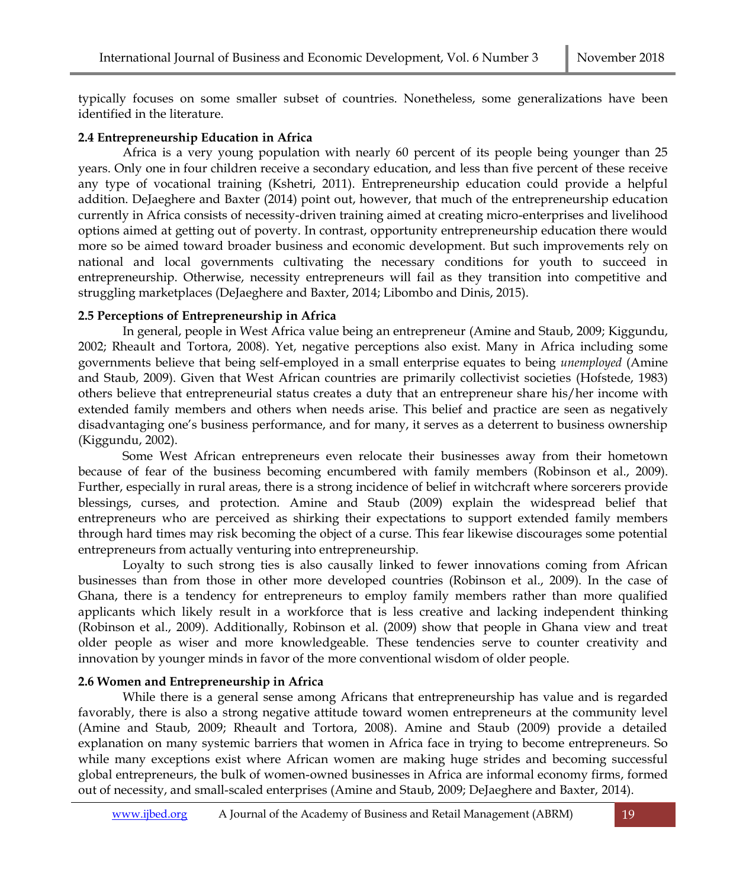typically focuses on some smaller subset of countries. Nonetheless, some generalizations have been identified in the literature.

# **2.4 Entrepreneurship Education in Africa**

Africa is a very young population with nearly 60 percent of its people being younger than 25 years. Only one in four children receive a secondary education, and less than five percent of these receive any type of vocational training (Kshetri, 2011). Entrepreneurship education could provide a helpful addition. DeJaeghere and Baxter (2014) point out, however, that much of the entrepreneurship education currently in Africa consists of necessity-driven training aimed at creating micro-enterprises and livelihood options aimed at getting out of poverty. In contrast, opportunity entrepreneurship education there would more so be aimed toward broader business and economic development. But such improvements rely on national and local governments cultivating the necessary conditions for youth to succeed in entrepreneurship. Otherwise, necessity entrepreneurs will fail as they transition into competitive and struggling marketplaces (DeJaeghere and Baxter, 2014; Libombo and Dinis, 2015).

# **2.5 Perceptions of Entrepreneurship in Africa**

In general, people in West Africa value being an entrepreneur (Amine and Staub, 2009; Kiggundu, 2002; Rheault and Tortora, 2008). Yet, negative perceptions also exist. Many in Africa including some governments believe that being self-employed in a small enterprise equates to being *unemployed* (Amine and Staub, 2009). Given that West African countries are primarily collectivist societies (Hofstede, 1983) others believe that entrepreneurial status creates a duty that an entrepreneur share his/her income with extended family members and others when needs arise. This belief and practice are seen as negatively disadvantaging one's business performance, and for many, it serves as a deterrent to business ownership (Kiggundu, 2002).

Some West African entrepreneurs even relocate their businesses away from their hometown because of fear of the business becoming encumbered with family members (Robinson et al., 2009). Further, especially in rural areas, there is a strong incidence of belief in witchcraft where sorcerers provide blessings, curses, and protection. Amine and Staub (2009) explain the widespread belief that entrepreneurs who are perceived as shirking their expectations to support extended family members through hard times may risk becoming the object of a curse. This fear likewise discourages some potential entrepreneurs from actually venturing into entrepreneurship.

Loyalty to such strong ties is also causally linked to fewer innovations coming from African businesses than from those in other more developed countries (Robinson et al., 2009). In the case of Ghana, there is a tendency for entrepreneurs to employ family members rather than more qualified applicants which likely result in a workforce that is less creative and lacking independent thinking (Robinson et al., 2009). Additionally, Robinson et al. (2009) show that people in Ghana view and treat older people as wiser and more knowledgeable. These tendencies serve to counter creativity and innovation by younger minds in favor of the more conventional wisdom of older people.

# **2.6 Women and Entrepreneurship in Africa**

While there is a general sense among Africans that entrepreneurship has value and is regarded favorably, there is also a strong negative attitude toward women entrepreneurs at the community level (Amine and Staub, 2009; Rheault and Tortora, 2008). Amine and Staub (2009) provide a detailed explanation on many systemic barriers that women in Africa face in trying to become entrepreneurs. So while many exceptions exist where African women are making huge strides and becoming successful global entrepreneurs, the bulk of women-owned businesses in Africa are informal economy firms, formed out of necessity, and small-scaled enterprises (Amine and Staub, 2009; DeJaeghere and Baxter, 2014).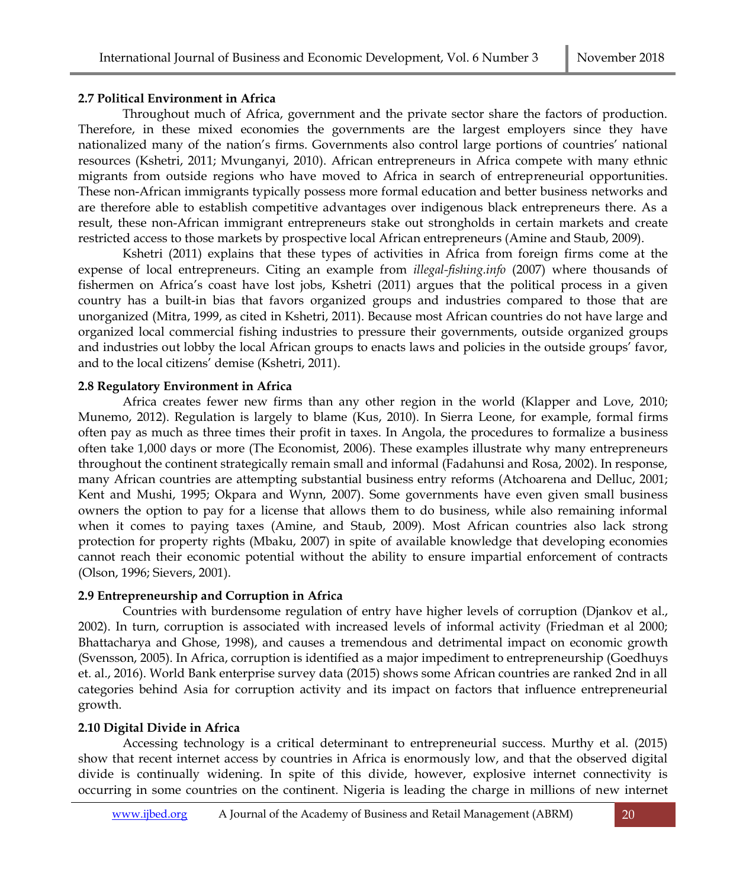#### **2.7 Political Environment in Africa**

Throughout much of Africa, government and the private sector share the factors of production. Therefore, in these mixed economies the governments are the largest employers since they have nationalized many of the nation's firms. Governments also control large portions of countries' national resources (Kshetri, 2011; Mvunganyi, 2010). African entrepreneurs in Africa compete with many ethnic migrants from outside regions who have moved to Africa in search of entrepreneurial opportunities. These non-African immigrants typically possess more formal education and better business networks and are therefore able to establish competitive advantages over indigenous black entrepreneurs there. As a result, these non-African immigrant entrepreneurs stake out strongholds in certain markets and create restricted access to those markets by prospective local African entrepreneurs (Amine and Staub, 2009).

Kshetri (2011) explains that these types of activities in Africa from foreign firms come at the expense of local entrepreneurs. Citing an example from *illegal-fishing.info* (2007) where thousands of fishermen on Africa's coast have lost jobs, Kshetri (2011) argues that the political process in a given country has a built-in bias that favors organized groups and industries compared to those that are unorganized (Mitra, 1999, as cited in Kshetri, 2011). Because most African countries do not have large and organized local commercial fishing industries to pressure their governments, outside organized groups and industries out lobby the local African groups to enacts laws and policies in the outside groups' favor, and to the local citizens' demise (Kshetri, 2011).

#### **2.8 Regulatory Environment in Africa**

Africa creates fewer new firms than any other region in the world (Klapper and Love, 2010; Munemo, 2012). Regulation is largely to blame (Kus, 2010). In Sierra Leone, for example, formal firms often pay as much as three times their profit in taxes. In Angola, the procedures to formalize a business often take 1,000 days or more (The Economist, 2006). These examples illustrate why many entrepreneurs throughout the continent strategically remain small and informal (Fadahunsi and Rosa, 2002). In response, many African countries are attempting substantial business entry reforms (Atchoarena and Delluc, 2001; Kent and Mushi, 1995; Okpara and Wynn, 2007). Some governments have even given small business owners the option to pay for a license that allows them to do business, while also remaining informal when it comes to paying taxes (Amine, and Staub, 2009). Most African countries also lack strong protection for property rights (Mbaku, 2007) in spite of available knowledge that developing economies cannot reach their economic potential without the ability to ensure impartial enforcement of contracts (Olson, 1996; Sievers, 2001).

## **2.9 Entrepreneurship and Corruption in Africa**

Countries with burdensome regulation of entry have higher levels of corruption (Djankov et al., 2002). In turn, corruption is associated with increased levels of informal activity (Friedman et al 2000; Bhattacharya and Ghose, 1998), and causes a tremendous and detrimental impact on economic growth (Svensson, 2005). In Africa, corruption is identified as a major impediment to entrepreneurship (Goedhuys et. al., 2016). World Bank enterprise survey data (2015) shows some African countries are ranked 2nd in all categories behind Asia for corruption activity and its impact on factors that influence entrepreneurial growth.

## **2.10 Digital Divide in Africa**

Accessing technology is a critical determinant to entrepreneurial success. Murthy et al. (2015) show that recent internet access by countries in Africa is enormously low, and that the observed digital divide is continually widening. In spite of this divide, however, explosive internet connectivity is occurring in some countries on the continent. Nigeria is leading the charge in millions of new internet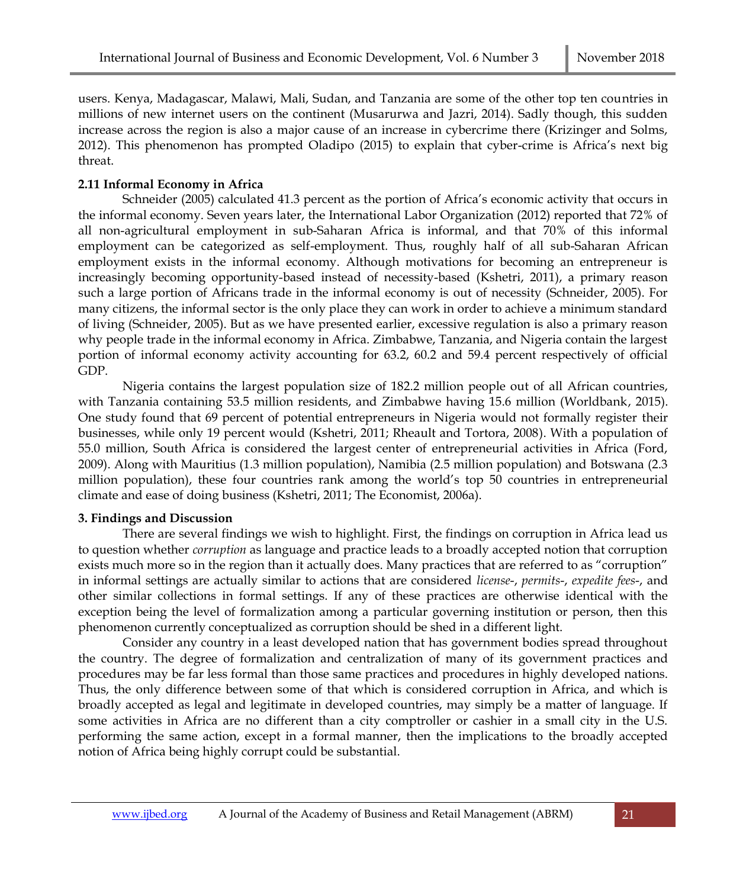users. Kenya, Madagascar, Malawi, Mali, Sudan, and Tanzania are some of the other top ten countries in millions of new internet users on the continent (Musarurwa and Jazri, 2014). Sadly though, this sudden increase across the region is also a major cause of an increase in cybercrime there (Krizinger and Solms, 2012). This phenomenon has prompted Oladipo (2015) to explain that cyber-crime is Africa's next big threat.

# **2.11 Informal Economy in Africa**

Schneider (2005) calculated 41.3 percent as the portion of Africa's economic activity that occurs in the informal economy. Seven years later, the International Labor Organization (2012) reported that 72% of all non-agricultural employment in sub-Saharan Africa is informal, and that 70% of this informal employment can be categorized as self-employment. Thus, roughly half of all sub-Saharan African employment exists in the informal economy. Although motivations for becoming an entrepreneur is increasingly becoming opportunity-based instead of necessity-based (Kshetri, 2011), a primary reason such a large portion of Africans trade in the informal economy is out of necessity (Schneider, 2005). For many citizens, the informal sector is the only place they can work in order to achieve a minimum standard of living (Schneider, 2005). But as we have presented earlier, excessive regulation is also a primary reason why people trade in the informal economy in Africa. Zimbabwe, Tanzania, and Nigeria contain the largest portion of informal economy activity accounting for 63.2, 60.2 and 59.4 percent respectively of official GDP.

Nigeria contains the largest population size of 182.2 million people out of all African countries, with Tanzania containing 53.5 million residents, and Zimbabwe having 15.6 million (Worldbank, 2015). One study found that 69 percent of potential entrepreneurs in Nigeria would not formally register their businesses, while only 19 percent would (Kshetri, 2011; Rheault and Tortora, 2008). With a population of 55.0 million, South Africa is considered the largest center of entrepreneurial activities in Africa (Ford, 2009). Along with Mauritius (1.3 million population), Namibia (2.5 million population) and Botswana (2.3 million population), these four countries rank among the world's top 50 countries in entrepreneurial climate and ease of doing business (Kshetri, 2011; The Economist, 2006a).

## **3. Findings and Discussion**

There are several findings we wish to highlight. First, the findings on corruption in Africa lead us to question whether *corruption* as language and practice leads to a broadly accepted notion that corruption exists much more so in the region than it actually does. Many practices that are referred to as "corruption" in informal settings are actually similar to actions that are considered *license*-, *permits*-, *expedite fees*-, and other similar collections in formal settings. If any of these practices are otherwise identical with the exception being the level of formalization among a particular governing institution or person, then this phenomenon currently conceptualized as corruption should be shed in a different light.

Consider any country in a least developed nation that has government bodies spread throughout the country. The degree of formalization and centralization of many of its government practices and procedures may be far less formal than those same practices and procedures in highly developed nations. Thus, the only difference between some of that which is considered corruption in Africa, and which is broadly accepted as legal and legitimate in developed countries, may simply be a matter of language. If some activities in Africa are no different than a city comptroller or cashier in a small city in the U.S. performing the same action, except in a formal manner, then the implications to the broadly accepted notion of Africa being highly corrupt could be substantial.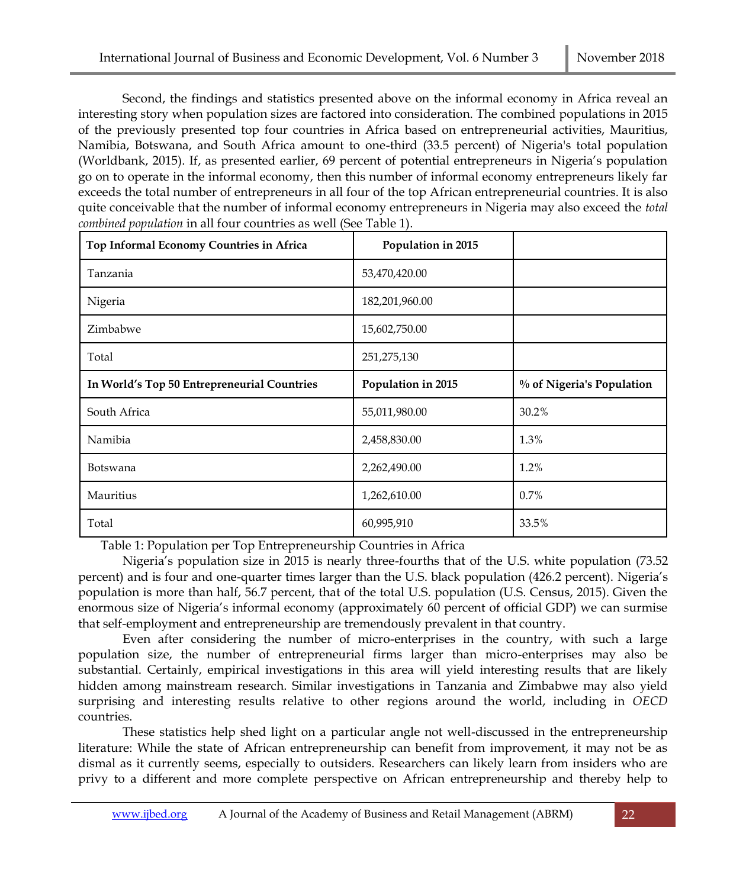Second, the findings and statistics presented above on the informal economy in Africa reveal an interesting story when population sizes are factored into consideration. The combined populations in 2015 of the previously presented top four countries in Africa based on entrepreneurial activities, Mauritius, Namibia, Botswana, and South Africa amount to one-third (33.5 percent) of Nigeria's total population (Worldbank, 2015). If, as presented earlier, 69 percent of potential entrepreneurs in Nigeria's population go on to operate in the informal economy, then this number of informal economy entrepreneurs likely far exceeds the total number of entrepreneurs in all four of the top African entrepreneurial countries. It is also quite conceivable that the number of informal economy entrepreneurs in Nigeria may also exceed the *total combined population* in all four countries as well (See Table 1).

| Top Informal Economy Countries in Africa    | Population in 2015 |                           |
|---------------------------------------------|--------------------|---------------------------|
| Tanzania                                    | 53,470,420.00      |                           |
| Nigeria                                     | 182,201,960.00     |                           |
| Zimbabwe                                    | 15,602,750.00      |                           |
| Total                                       | 251,275,130        |                           |
| In World's Top 50 Entrepreneurial Countries | Population in 2015 | % of Nigeria's Population |
| South Africa                                | 55,011,980.00      | 30.2%                     |
| Namibia                                     | 2,458,830.00       | 1.3%                      |
| Botswana                                    | 2,262,490.00       | 1.2%                      |
| Mauritius                                   | 1,262,610.00       | 0.7%                      |
| Total                                       | 60,995,910         | 33.5%                     |

Table 1: Population per Top Entrepreneurship Countries in Africa

Nigeria's population size in 2015 is nearly three-fourths that of the U.S. white population (73.52 percent) and is four and one-quarter times larger than the U.S. black population (426.2 percent). Nigeria's population is more than half, 56.7 percent, that of the total U.S. population (U.S. Census, 2015). Given the enormous size of Nigeria's informal economy (approximately 60 percent of official GDP) we can surmise that self-employment and entrepreneurship are tremendously prevalent in that country.

Even after considering the number of micro-enterprises in the country, with such a large population size, the number of entrepreneurial firms larger than micro-enterprises may also be substantial. Certainly, empirical investigations in this area will yield interesting results that are likely hidden among mainstream research. Similar investigations in Tanzania and Zimbabwe may also yield surprising and interesting results relative to other regions around the world, including in *OECD* countries.

These statistics help shed light on a particular angle not well-discussed in the entrepreneurship literature: While the state of African entrepreneurship can benefit from improvement, it may not be as dismal as it currently seems, especially to outsiders. Researchers can likely learn from insiders who are privy to a different and more complete perspective on African entrepreneurship and thereby help to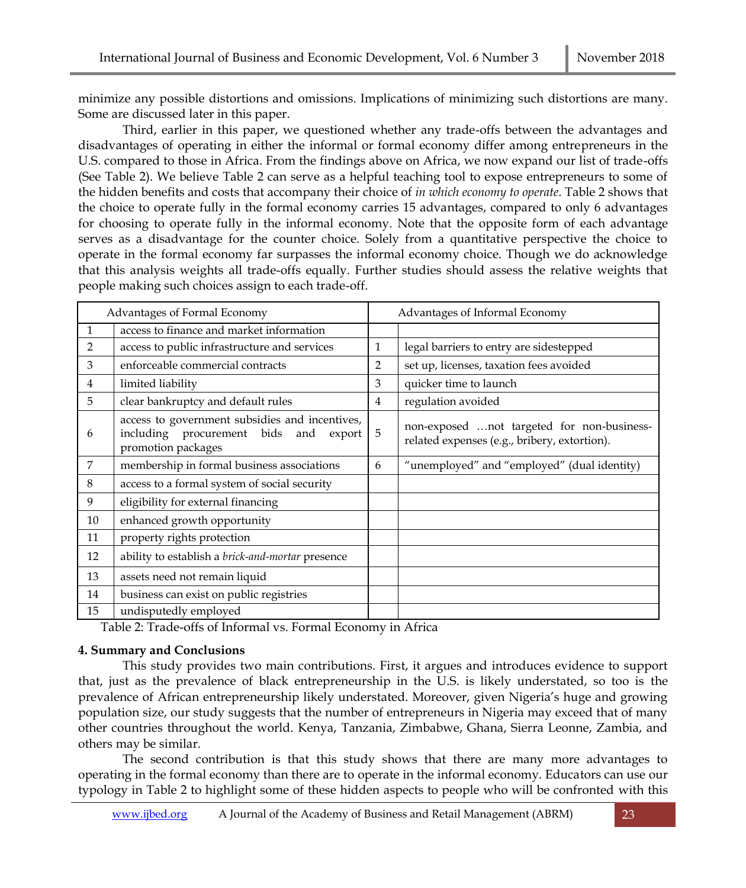minimize any possible distortions and omissions. Implications of minimizing such distortions are many. Some are discussed later in this paper.

Third, earlier in this paper, we questioned whether any trade-offs between the advantages and disadvantages of operating in either the informal or formal economy differ among entrepreneurs in the U.S. compared to those in Africa. From the findings above on Africa, we now expand our list of trade-offs (See Table 2). We believe Table 2 can serve as a helpful teaching tool to expose entrepreneurs to some of the hidden benefits and costs that accompany their choice of *in which economy to operate*. Table 2 shows that the choice to operate fully in the formal economy carries 15 advantages, compared to only 6 advantages for choosing to operate fully in the informal economy. Note that the opposite form of each advantage serves as a disadvantage for the counter choice. Solely from a quantitative perspective the choice to operate in the formal economy far surpasses the informal economy choice. Though we do acknowledge that this analysis weights all trade-offs equally. Further studies should assess the relative weights that people making such choices assign to each trade-off.

|              | Advantages of Formal Economy                                                                                        |    | Advantages of Informal Economy                                                             |
|--------------|---------------------------------------------------------------------------------------------------------------------|----|--------------------------------------------------------------------------------------------|
| $\mathbf{1}$ | access to finance and market information                                                                            |    |                                                                                            |
| 2            | access to public infrastructure and services                                                                        | 1  | legal barriers to entry are sidestepped                                                    |
| 3            | enforceable commercial contracts                                                                                    | 2  | set up, licenses, taxation fees avoided                                                    |
| 4            | limited liability                                                                                                   | 3  | quicker time to launch                                                                     |
| 5            | clear bankruptcy and default rules                                                                                  | 4  | regulation avoided                                                                         |
| 6            | access to government subsidies and incentives,<br>including procurement bids<br>and<br>export<br>promotion packages | -5 | non-exposed not targeted for non-business-<br>related expenses (e.g., bribery, extortion). |
| 7            | membership in formal business associations                                                                          | 6  | "unemployed" and "employed" (dual identity)                                                |
| 8            | access to a formal system of social security                                                                        |    |                                                                                            |
| 9            | eligibility for external financing                                                                                  |    |                                                                                            |
| 10           | enhanced growth opportunity                                                                                         |    |                                                                                            |
| 11           | property rights protection                                                                                          |    |                                                                                            |
| 12           | ability to establish a brick-and-mortar presence                                                                    |    |                                                                                            |
| 13           | assets need not remain liquid                                                                                       |    |                                                                                            |
| 14           | business can exist on public registries                                                                             |    |                                                                                            |
| 15           | undisputedly employed                                                                                               |    |                                                                                            |

Table 2: Trade-offs of Informal vs. Formal Economy in Africa

## **4. Summary and Conclusions**

This study provides two main contributions. First, it argues and introduces evidence to support that, just as the prevalence of black entrepreneurship in the U.S. is likely understated, so too is the prevalence of African entrepreneurship likely understated. Moreover, given Nigeria's huge and growing population size, our study suggests that the number of entrepreneurs in Nigeria may exceed that of many other countries throughout the world. Kenya, Tanzania, Zimbabwe, Ghana, Sierra Leonne, Zambia, and others may be similar.

The second contribution is that this study shows that there are many more advantages to operating in the formal economy than there are to operate in the informal economy. Educators can use our typology in Table 2 to highlight some of these hidden aspects to people who will be confronted with this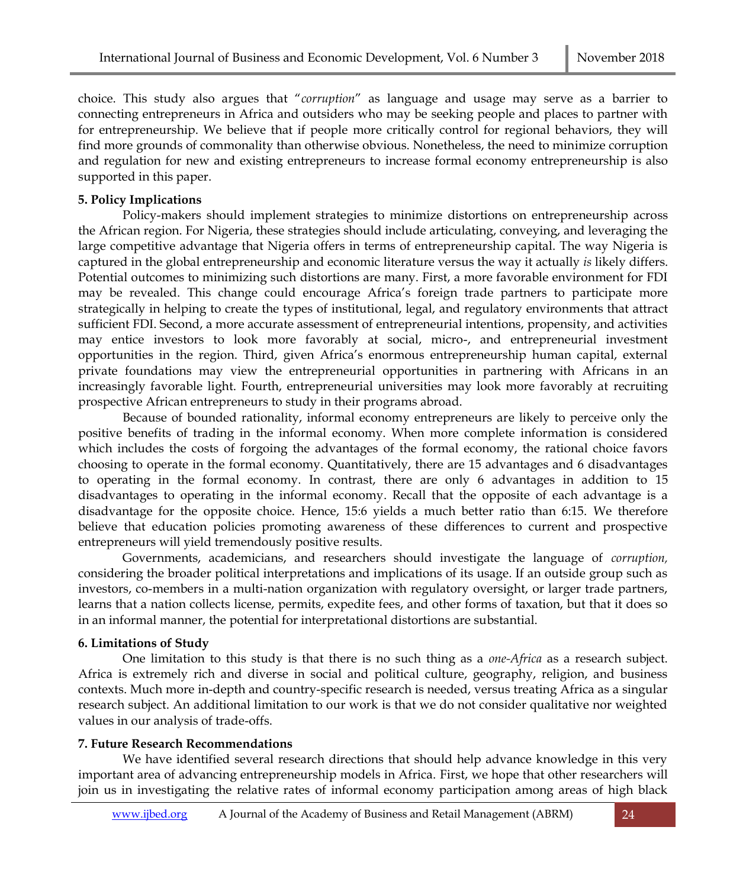choice. This study also argues that "*corruption*" as language and usage may serve as a barrier to connecting entrepreneurs in Africa and outsiders who may be seeking people and places to partner with for entrepreneurship. We believe that if people more critically control for regional behaviors, they will find more grounds of commonality than otherwise obvious. Nonetheless, the need to minimize corruption and regulation for new and existing entrepreneurs to increase formal economy entrepreneurship is also supported in this paper.

# **5. Policy Implications**

Policy-makers should implement strategies to minimize distortions on entrepreneurship across the African region. For Nigeria, these strategies should include articulating, conveying, and leveraging the large competitive advantage that Nigeria offers in terms of entrepreneurship capital. The way Nigeria is captured in the global entrepreneurship and economic literature versus the way it actually *is* likely differs. Potential outcomes to minimizing such distortions are many. First, a more favorable environment for FDI may be revealed. This change could encourage Africa's foreign trade partners to participate more strategically in helping to create the types of institutional, legal, and regulatory environments that attract sufficient FDI. Second, a more accurate assessment of entrepreneurial intentions, propensity, and activities may entice investors to look more favorably at social, micro-, and entrepreneurial investment opportunities in the region. Third, given Africa's enormous entrepreneurship human capital, external private foundations may view the entrepreneurial opportunities in partnering with Africans in an increasingly favorable light. Fourth, entrepreneurial universities may look more favorably at recruiting prospective African entrepreneurs to study in their programs abroad.

Because of bounded rationality, informal economy entrepreneurs are likely to perceive only the positive benefits of trading in the informal economy. When more complete information is considered which includes the costs of forgoing the advantages of the formal economy, the rational choice favors choosing to operate in the formal economy. Quantitatively, there are 15 advantages and 6 disadvantages to operating in the formal economy. In contrast, there are only 6 advantages in addition to 15 disadvantages to operating in the informal economy. Recall that the opposite of each advantage is a disadvantage for the opposite choice. Hence, 15:6 yields a much better ratio than 6:15. We therefore believe that education policies promoting awareness of these differences to current and prospective entrepreneurs will yield tremendously positive results.

Governments, academicians, and researchers should investigate the language of *corruption,*  considering the broader political interpretations and implications of its usage. If an outside group such as investors, co-members in a multi-nation organization with regulatory oversight, or larger trade partners, learns that a nation collects license, permits, expedite fees, and other forms of taxation, but that it does so in an informal manner, the potential for interpretational distortions are substantial.

## **6. Limitations of Study**

One limitation to this study is that there is no such thing as a *one-Africa* as a research subject. Africa is extremely rich and diverse in social and political culture, geography, religion, and business contexts. Much more in-depth and country-specific research is needed, versus treating Africa as a singular research subject. An additional limitation to our work is that we do not consider qualitative nor weighted values in our analysis of trade-offs.

# **7. Future Research Recommendations**

We have identified several research directions that should help advance knowledge in this very important area of advancing entrepreneurship models in Africa. First, we hope that other researchers will join us in investigating the relative rates of informal economy participation among areas of high black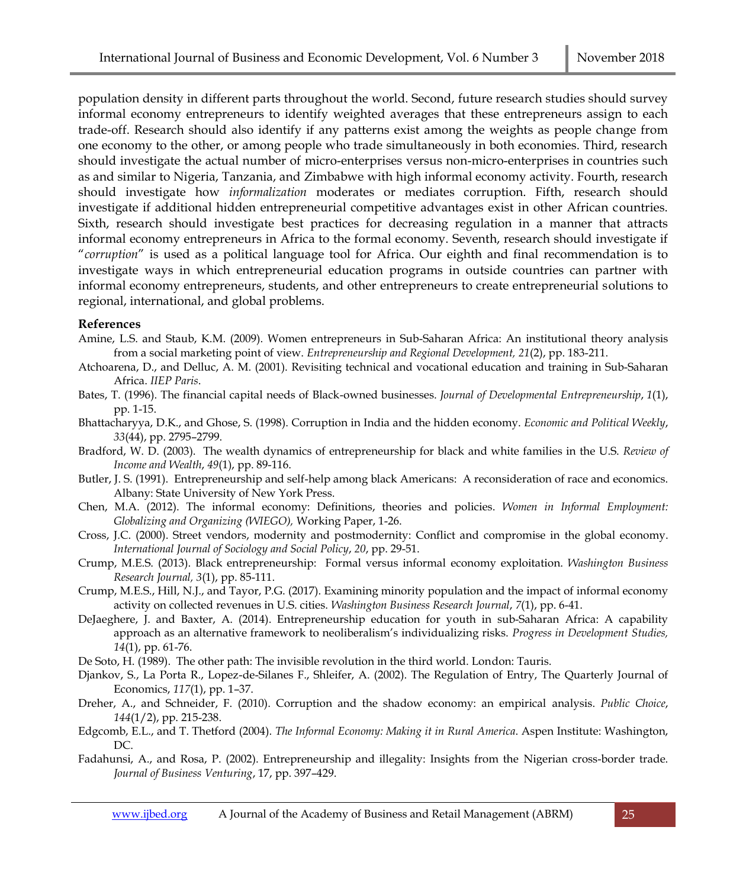population density in different parts throughout the world. Second, future research studies should survey informal economy entrepreneurs to identify weighted averages that these entrepreneurs assign to each trade-off. Research should also identify if any patterns exist among the weights as people change from one economy to the other, or among people who trade simultaneously in both economies. Third, research should investigate the actual number of micro-enterprises versus non-micro-enterprises in countries such as and similar to Nigeria, Tanzania, and Zimbabwe with high informal economy activity. Fourth, research should investigate how *informalization* moderates or mediates corruption. Fifth, research should investigate if additional hidden entrepreneurial competitive advantages exist in other African countries. Sixth, research should investigate best practices for decreasing regulation in a manner that attracts informal economy entrepreneurs in Africa to the formal economy. Seventh, research should investigate if "*corruption*" is used as a political language tool for Africa. Our eighth and final recommendation is to investigate ways in which entrepreneurial education programs in outside countries can partner with informal economy entrepreneurs, students, and other entrepreneurs to create entrepreneurial solutions to regional, international, and global problems.

## **References**

- Amine, L.S. and Staub, K.M. (2009). Women entrepreneurs in Sub-Saharan Africa: An institutional theory analysis from a social marketing point of view. *Entrepreneurship and Regional Development, 21*(2), pp. 183-211.
- Atchoarena, D., and Delluc, A. M. (2001). Revisiting technical and vocational education and training in Sub-Saharan Africa. *IIEP Paris*.
- Bates, T. (1996). The financial capital needs of Black-owned businesses. *Journal of Developmental Entrepreneurship*, *1*(1), pp. 1-15.
- Bhattacharyya, D.K., and Ghose, S. (1998). Corruption in India and the hidden economy. *Economic and Political Weekly*, *33*(44), pp. 2795–2799.
- Bradford, W. D. (2003). The wealth dynamics of entrepreneurship for black and white families in the U.S. *Review of Income and Wealth*, *49*(1), pp. 89-116.
- Butler, J. S. (1991). Entrepreneurship and self-help among black Americans: A reconsideration of race and economics. Albany: State University of New York Press.
- Chen, M.A. (2012). The informal economy: Definitions, theories and policies. *Women in Informal Employment: Globalizing and Organizing (WIEGO),* Working Paper, 1-26.
- Cross, J.C. (2000). Street vendors, modernity and postmodernity: Conflict and compromise in the global economy. *International Journal of Sociology and Social Policy*, *20*, pp. 29-51.
- Crump, M.E.S. (2013). Black entrepreneurship: Formal versus informal economy exploitation. *Washington Business Research Journal, 3*(1), pp. 85-111.
- Crump, M.E.S., Hill, N.J., and Tayor, P.G. (2017). Examining minority population and the impact of informal economy activity on collected revenues in U.S. cities. *Washington Business Research Journal*, *7*(1), pp. 6-41.
- DeJaeghere, J. and Baxter, A. (2014). Entrepreneurship education for youth in sub-Saharan Africa: A capability approach as an alternative framework to neoliberalism's individualizing risks. *Progress in Development Studies, 14*(1), pp. 61-76.
- De Soto, H. (1989). The other path: The invisible revolution in the third world. London: Tauris.
- Djankov, S., La Porta R., Lopez-de-Silanes F., Shleifer, A. (2002). The Regulation of Entry, The Quarterly Journal of Economics, *117*(1), pp. 1–37.
- Dreher, A., and Schneider, F. (2010). Corruption and the shadow economy: an empirical analysis. *Public Choice*, *144*(1/2), pp. 215-238.
- Edgcomb, E.L., and T. Thetford (2004). *The Informal Economy: Making it in Rural America*. Aspen Institute: Washington, DC.
- Fadahunsi, A., and Rosa, P. (2002). Entrepreneurship and illegality: Insights from the Nigerian cross-border trade. *Journal of Business Venturing*, 17, pp. 397–429.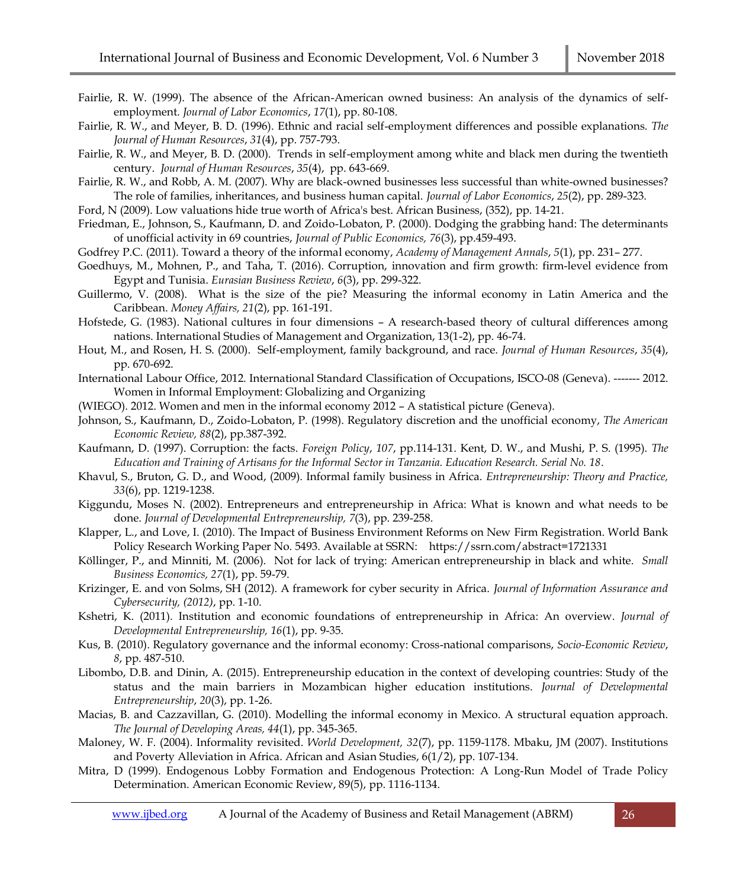- Fairlie, R. W. (1999). The absence of the African-American owned business: An analysis of the dynamics of selfemployment. *Journal of Labor Economics*, *17*(1), pp. 80-108.
- Fairlie, R. W., and Meyer, B. D. (1996). Ethnic and racial self-employment differences and possible explanations. *The Journal of Human Resources*, *31*(4), pp. 757-793.
- Fairlie, R. W., and Meyer, B. D. (2000). Trends in self-employment among white and black men during the twentieth century. *Journal of Human Resources*, *35*(4), pp. 643-669.
- Fairlie, R. W., and Robb, A. M. (2007). Why are black-owned businesses less successful than white-owned businesses? The role of families, inheritances, and business human capital. *Journal of Labor Economics*, *25*(2), pp. 289-323.

Ford, N (2009). Low valuations hide true worth of Africa's best. African Business, (352), pp. 14-21.

- Friedman, E., Johnson, S., Kaufmann, D. and Zoido-Lobaton, P. (2000). Dodging the grabbing hand: The determinants of unofficial activity in 69 countries, *Journal of Public Economics, 76*(3), pp.459-493.
- Godfrey P.C. (2011). Toward a theory of the informal economy, *Academy of Management Annals*, *5*(1), pp. 231– 277.
- Goedhuys, M., Mohnen, P., and Taha, T. (2016). Corruption, innovation and firm growth: firm-level evidence from Egypt and Tunisia. *Eurasian Business Review*, *6*(3), pp. 299-322.
- Guillermo, V. (2008). What is the size of the pie? Measuring the informal economy in Latin America and the Caribbean. *Money Affairs, 21*(2), pp. 161-191.
- Hofstede, G. (1983). National cultures in four dimensions A research-based theory of cultural differences among nations. International Studies of Management and Organization, 13(1-2), pp. 46-74.
- Hout, M., and Rosen, H. S. (2000). Self-employment, family background, and race. *Journal of Human Resources*, *35*(4), pp. 670-692.
- International Labour Office, 2012. International Standard Classification of Occupations, ISCO-08 (Geneva). ------- 2012. Women in Informal Employment: Globalizing and Organizing
- (WIEGO). 2012. Women and men in the informal economy 2012 A statistical picture (Geneva).
- Johnson, S., Kaufmann, D., Zoido-Lobaton, P. (1998). Regulatory discretion and the unofficial economy, *The American Economic Review, 88*(2), pp.387-392.
- Kaufmann, D. (1997). Corruption: the facts. *Foreign Policy*, *107*, pp.114-131. Kent, D. W., and Mushi, P. S. (1995). *The Education and Training of Artisans for the Informal Sector in Tanzania. Education Research. Serial No. 18*.
- Khavul, S., Bruton, G. D., and Wood, (2009). Informal family business in Africa. *Entrepreneurship: Theory and Practice, 33*(6), pp. 1219-1238.
- Kiggundu, Moses N. (2002). Entrepreneurs and entrepreneurship in Africa: What is known and what needs to be done. *Journal of Developmental Entrepreneurship, 7*(3), pp. 239-258.
- Klapper, L., and Love, I. (2010). The Impact of Business Environment Reforms on New Firm Registration. World Bank Policy Research Working Paper No. 5493. Available at SSRN: https://ssrn.com/abstract=1721331
- Köllinger, P., and Minniti, M. (2006). Not for lack of trying: American entrepreneurship in black and white. *Small Business Economics, 27*(1), pp. 59-79.
- Krizinger, E. and von Solms, SH (2012). A framework for cyber security in Africa. *Journal of Information Assurance and Cybersecurity, (2012)*, pp. 1-10.
- Kshetri, K. (2011). Institution and economic foundations of entrepreneurship in Africa: An overview. *Journal of Developmental Entrepreneurship, 16*(1), pp. 9-35.
- Kus, B. (2010). Regulatory governance and the informal economy: Cross-national comparisons, *Socio-Economic Review*, *8*, pp. 487-510.
- Libombo, D.B. and Dinin, A. (2015). Entrepreneurship education in the context of developing countries: Study of the status and the main barriers in Mozambican higher education institutions. *Journal of Developmental Entrepreneurship*, *20*(3), pp. 1-26.
- Macias, B. and Cazzavillan, G. (2010). Modelling the informal economy in Mexico. A structural equation approach. *The Journal of Developing Areas, 44*(1), pp. 345-365.
- Maloney, W. F. (2004). Informality revisited. *World Development, 32*(7), pp. 1159-1178. Mbaku, JM (2007). Institutions and Poverty Alleviation in Africa. African and Asian Studies, 6(1/2), pp. 107-134.
- Mitra, D (1999). Endogenous Lobby Formation and Endogenous Protection: A Long-Run Model of Trade Policy Determination. American Economic Review, 89(5), pp. 1116-1134.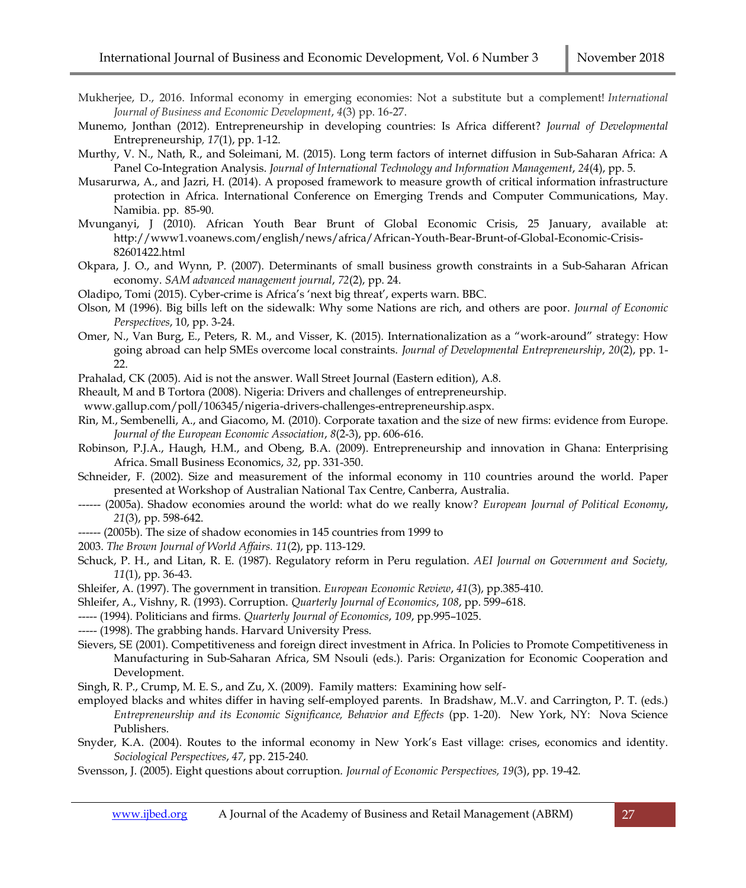- Mukherjee, D., 2016. Informal economy in emerging economies: Not a substitute but a complement! *International Journal of Business and Economic Development*, *4*(3) pp. 16-27.
- Munemo, Jonthan (2012). Entrepreneurship in developing countries: Is Africa different? *Journal of Developmental*  Entrepreneurship*, 17*(1), pp. 1-12.
- Murthy, V. N., Nath, R., and Soleimani, M. (2015). Long term factors of internet diffusion in Sub-Saharan Africa: A Panel Co-Integration Analysis. *Journal of International Technology and Information Management*, *24*(4), pp. 5.
- Musarurwa, A., and Jazri, H. (2014). A proposed framework to measure growth of critical information infrastructure protection in Africa. International Conference on Emerging Trends and Computer Communications, May. Namibia. pp. 85-90.
- Mvunganyi, J (2010). African Youth Bear Brunt of Global Economic Crisis, 25 January, available at: [http://www1.voanews.com/english/news/africa/African-Youth-Bear-Brunt-of-G](http://www1.voanews.com/english/news/africa/African-Youth-Bear-Brunt-of-)lobal-Economic-Crisis-82601422.html
- Okpara, J. O., and Wynn, P. (2007). Determinants of small business growth constraints in a Sub-Saharan African economy. *SAM advanced management journal*, *72*(2), pp. 24.
- Oladipo, Tomi (2015). Cyber-crime is Africa's 'next big threat', experts warn. BBC.
- Olson, M (1996). Big bills left on the sidewalk: Why some Nations are rich, and others are poor. *Journal of Economic Perspectives*, 10, pp. 3-24.
- Omer, N., Van Burg, E., Peters, R. M., and Visser, K. (2015). Internationalization as a "work-around" strategy: How going abroad can help SMEs overcome local constraints. *Journal of Developmental Entrepreneurship*, *20*(2), pp. 1- 22.
- Prahalad, CK (2005). Aid is not the answer. Wall Street Journal (Eastern edition), A.8.
- Rheault, M and B Tortora (2008). Nigeria: Drivers and challenges of entrepreneurship.
- www.gallup.com/poll/106345/nigeria-drivers-challenges-entrepreneurship.aspx.
- Rin, M., Sembenelli, A., and Giacomo, M. (2010). Corporate taxation and the size of new firms: evidence from Europe. *Journal of the European Economic Association*, *8*(2‐3), pp. 606-616.
- Robinson, P.J.A., Haugh, H.M., and Obeng, B.A. (2009). Entrepreneurship and innovation in Ghana: Enterprising Africa. Small Business Economics, *32*, pp. 331-350.
- Schneider, F. (2002). Size and measurement of the informal economy in 110 countries around the world. Paper presented at Workshop of Australian National Tax Centre, Canberra, Australia.
- ------ (2005a). Shadow economies around the world: what do we really know? *European Journal of Political Economy*, *21*(3), pp. 598-642.
- ------ (2005b). The size of shadow economies in 145 countries from 1999 to
- 2003. *The Brown Journal of World Affairs. 11*(2), pp. 113-129.
- Schuck, P. H., and Litan, R. E. (1987). Regulatory reform in Peru regulation. *AEI Journal on Government and Society, 11*(1), pp. 36-43.
- Shleifer, A. (1997). The government in transition. *European Economic Review*, *41*(3), pp.385-410.
- Shleifer, A., Vishny, R. (1993). Corruption. *Quarterly Journal of Economics*, *108*, pp. 599–618.
- ----- (1994). Politicians and firms. *Quarterly Journal of Economics*, *109*, pp.995–1025.
- ----- (1998). The grabbing hands. Harvard University Press.
- Sievers, SE (2001). Competitiveness and foreign direct investment in Africa. In Policies to Promote Competitiveness in Manufacturing in Sub-Saharan Africa, SM Nsouli (eds.). Paris: Organization for Economic Cooperation and Development.
- Singh, R. P., Crump, M. E. S., and Zu, X. (2009). Family matters: Examining how self-
- employed blacks and whites differ in having self-employed parents. In Bradshaw, M..V. and Carrington, P. T. (eds.) *Entrepreneurship and its Economic Significance, Behavior and Effects* (pp. 1-20). New York, NY: Nova Science Publishers.
- Snyder, K.A. (2004). Routes to the informal economy in New York's East village: crises, economics and identity. *Sociological Perspectives*, *47*, pp. 215-240.
- Svensson, J. (2005). Eight questions about corruption. *Journal of Economic Perspectives, 19*(3), pp. 19-42.